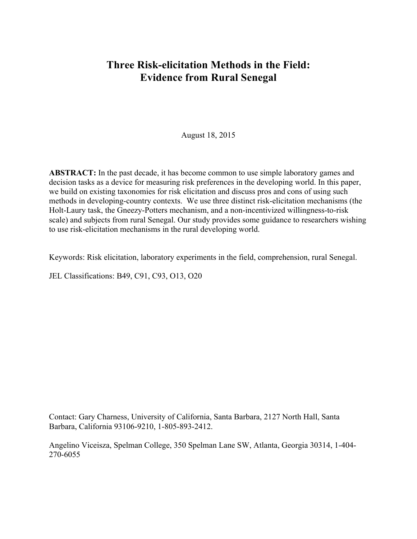# **Three Risk-elicitation Methods in the Field: Evidence from Rural Senegal**

August 18, 2015

**ABSTRACT:** In the past decade, it has become common to use simple laboratory games and decision tasks as a device for measuring risk preferences in the developing world. In this paper, we build on existing taxonomies for risk elicitation and discuss pros and cons of using such methods in developing-country contexts. We use three distinct risk-elicitation mechanisms (the Holt-Laury task, the Gneezy-Potters mechanism, and a non-incentivized willingness-to-risk scale) and subjects from rural Senegal. Our study provides some guidance to researchers wishing to use risk-elicitation mechanisms in the rural developing world.

Keywords: Risk elicitation, laboratory experiments in the field, comprehension, rural Senegal.

JEL Classifications: B49, C91, C93, O13, O20

Contact: Gary Charness, University of California, Santa Barbara, 2127 North Hall, Santa Barbara, California 93106-9210, 1-805-893-2412.

Angelino Viceisza, Spelman College, 350 Spelman Lane SW, Atlanta, Georgia 30314, 1-404- 270-6055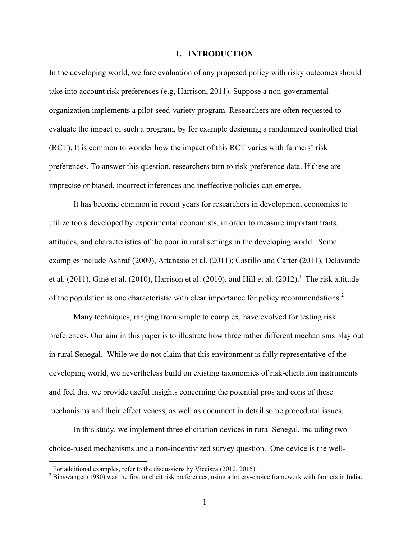#### **1. INTRODUCTION**

In the developing world, welfare evaluation of any proposed policy with risky outcomes should take into account risk preferences (e.g, Harrison, 2011). Suppose a non-governmental organization implements a pilot-seed-variety program. Researchers are often requested to evaluate the impact of such a program, by for example designing a randomized controlled trial (RCT). It is common to wonder how the impact of this RCT varies with farmers' risk preferences. To answer this question, researchers turn to risk-preference data. If these are imprecise or biased, incorrect inferences and ineffective policies can emerge.

It has become common in recent years for researchers in development economics to utilize tools developed by experimental economists, in order to measure important traits, attitudes, and characteristics of the poor in rural settings in the developing world. Some examples include Ashraf (2009), Attanasio et al. (2011); Castillo and Carter (2011), Delavande et al. (2011), Giné et al. (2010), Harrison et al. (2010), and Hill et al. (2012).<sup>1</sup> The risk attitude of the population is one characteristic with clear importance for policy recommendations.<sup>2</sup>

Many techniques, ranging from simple to complex, have evolved for testing risk preferences. Our aim in this paper is to illustrate how three rather different mechanisms play out in rural Senegal. While we do not claim that this environment is fully representative of the developing world, we nevertheless build on existing taxonomies of risk-elicitation instruments and feel that we provide useful insights concerning the potential pros and cons of these mechanisms and their effectiveness, as well as document in detail some procedural issues.

In this study, we implement three elicitation devices in rural Senegal, including two choice-based mechanisms and a non-incentivized survey question. One device is the well-

<sup>&</sup>lt;sup>1</sup> For additional examples, refer to the discussions by Viceisza  $(2012, 2015)$ .

 $2$  Binswanger (1980) was the first to elicit risk preferences, using a lottery-choice framework with farmers in India.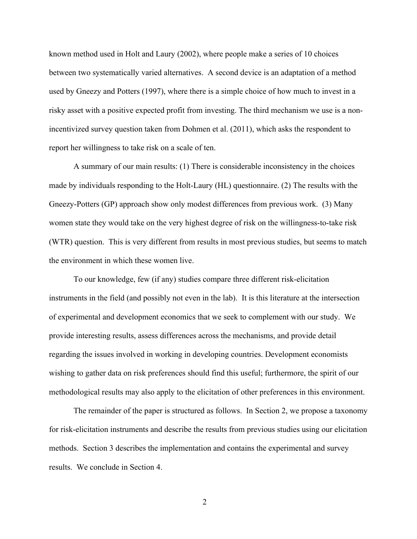known method used in Holt and Laury (2002), where people make a series of 10 choices between two systematically varied alternatives. A second device is an adaptation of a method used by Gneezy and Potters (1997), where there is a simple choice of how much to invest in a risky asset with a positive expected profit from investing. The third mechanism we use is a nonincentivized survey question taken from Dohmen et al. (2011), which asks the respondent to report her willingness to take risk on a scale of ten.

A summary of our main results: (1) There is considerable inconsistency in the choices made by individuals responding to the Holt-Laury (HL) questionnaire. (2) The results with the Gneezy-Potters (GP) approach show only modest differences from previous work. (3) Many women state they would take on the very highest degree of risk on the willingness-to-take risk (WTR) question. This is very different from results in most previous studies, but seems to match the environment in which these women live.

To our knowledge, few (if any) studies compare three different risk-elicitation instruments in the field (and possibly not even in the lab). It is this literature at the intersection of experimental and development economics that we seek to complement with our study. We provide interesting results, assess differences across the mechanisms, and provide detail regarding the issues involved in working in developing countries. Development economists wishing to gather data on risk preferences should find this useful; furthermore, the spirit of our methodological results may also apply to the elicitation of other preferences in this environment.

The remainder of the paper is structured as follows. In Section 2, we propose a taxonomy for risk-elicitation instruments and describe the results from previous studies using our elicitation methods. Section 3 describes the implementation and contains the experimental and survey results. We conclude in Section 4.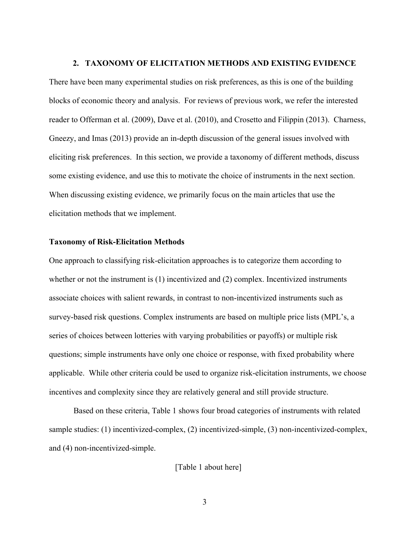#### **2. TAXONOMY OF ELICITATION METHODS AND EXISTING EVIDENCE**

There have been many experimental studies on risk preferences, as this is one of the building blocks of economic theory and analysis. For reviews of previous work, we refer the interested reader to Offerman et al. (2009), Dave et al. (2010), and Crosetto and Filippin (2013). Charness, Gneezy, and Imas (2013) provide an in-depth discussion of the general issues involved with eliciting risk preferences. In this section, we provide a taxonomy of different methods, discuss some existing evidence, and use this to motivate the choice of instruments in the next section. When discussing existing evidence, we primarily focus on the main articles that use the elicitation methods that we implement.

#### **Taxonomy of Risk-Elicitation Methods**

One approach to classifying risk-elicitation approaches is to categorize them according to whether or not the instrument is (1) incentivized and (2) complex. Incentivized instruments associate choices with salient rewards, in contrast to non-incentivized instruments such as survey-based risk questions. Complex instruments are based on multiple price lists (MPL's, a series of choices between lotteries with varying probabilities or payoffs) or multiple risk questions; simple instruments have only one choice or response, with fixed probability where applicable. While other criteria could be used to organize risk-elicitation instruments, we choose incentives and complexity since they are relatively general and still provide structure.

Based on these criteria, Table 1 shows four broad categories of instruments with related sample studies: (1) incentivized-complex, (2) incentivized-simple, (3) non-incentivized-complex, and (4) non-incentivized-simple.

[Table 1 about here]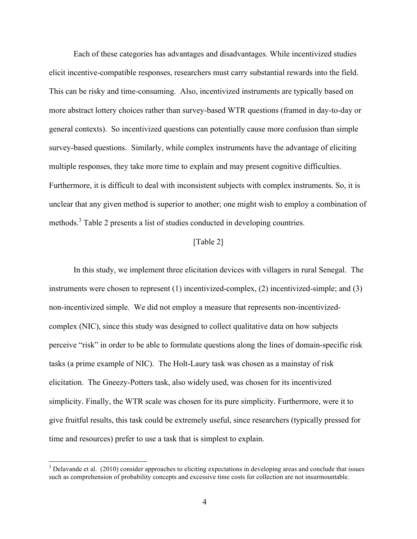Each of these categories has advantages and disadvantages. While incentivized studies elicit incentive-compatible responses, researchers must carry substantial rewards into the field. This can be risky and time-consuming. Also, incentivized instruments are typically based on more abstract lottery choices rather than survey-based WTR questions (framed in day-to-day or general contexts). So incentivized questions can potentially cause more confusion than simple survey-based questions. Similarly, while complex instruments have the advantage of eliciting multiple responses, they take more time to explain and may present cognitive difficulties. Furthermore, it is difficult to deal with inconsistent subjects with complex instruments. So, it is unclear that any given method is superior to another; one might wish to employ a combination of methods.<sup>3</sup> Table 2 presents a list of studies conducted in developing countries.

## [Table 2]

 In this study, we implement three elicitation devices with villagers in rural Senegal. The instruments were chosen to represent (1) incentivized-complex, (2) incentivized-simple; and (3) non-incentivized simple. We did not employ a measure that represents non-incentivizedcomplex (NIC), since this study was designed to collect qualitative data on how subjects perceive "risk" in order to be able to formulate questions along the lines of domain-specific risk tasks (a prime example of NIC). The Holt-Laury task was chosen as a mainstay of risk elicitation. The Gneezy-Potters task, also widely used, was chosen for its incentivized simplicity. Finally, the WTR scale was chosen for its pure simplicity. Furthermore, were it to give fruitful results, this task could be extremely useful, since researchers (typically pressed for time and resources) prefer to use a task that is simplest to explain.

<sup>&</sup>lt;sup>3</sup> Delavande et al. (2010) consider approaches to eliciting expectations in developing areas and conclude that issues such as comprehension of probability concepts and excessive time costs for collection are not insurmountable.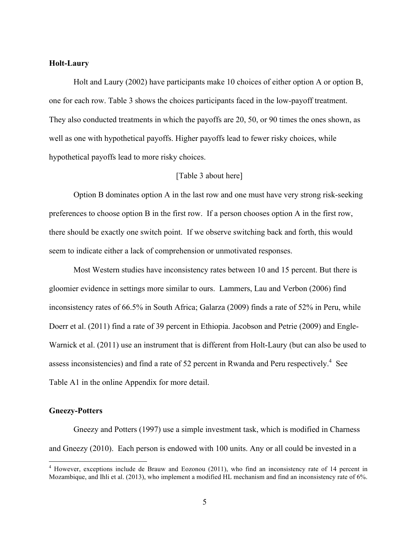#### **Holt-Laury**

Holt and Laury (2002) have participants make 10 choices of either option A or option B, one for each row. Table 3 shows the choices participants faced in the low-payoff treatment. They also conducted treatments in which the payoffs are 20, 50, or 90 times the ones shown, as well as one with hypothetical payoffs. Higher payoffs lead to fewer risky choices, while hypothetical payoffs lead to more risky choices.

### [Table 3 about here]

Option B dominates option A in the last row and one must have very strong risk-seeking preferences to choose option B in the first row. If a person chooses option A in the first row, there should be exactly one switch point. If we observe switching back and forth, this would seem to indicate either a lack of comprehension or unmotivated responses.

Most Western studies have inconsistency rates between 10 and 15 percent. But there is gloomier evidence in settings more similar to ours. Lammers, Lau and Verbon (2006) find inconsistency rates of 66.5% in South Africa; Galarza (2009) finds a rate of 52% in Peru, while Doerr et al. (2011) find a rate of 39 percent in Ethiopia. Jacobson and Petrie (2009) and Engle-Warnick et al. (2011) use an instrument that is different from Holt-Laury (but can also be used to assess inconsistencies) and find a rate of 52 percent in Rwanda and Peru respectively.<sup>4</sup> See Table A1 in the online Appendix for more detail.

#### **Gneezy-Potters**

 Gneezy and Potters (1997) use a simple investment task, which is modified in Charness and Gneezy (2010). Each person is endowed with 100 units. Any or all could be invested in a

<sup>&</sup>lt;sup>4</sup> However, exceptions include de Brauw and Eozonou (2011), who find an inconsistency rate of 14 percent in Mozambique, and Ihli et al. (2013), who implement a modified HL mechanism and find an inconsistency rate of 6%.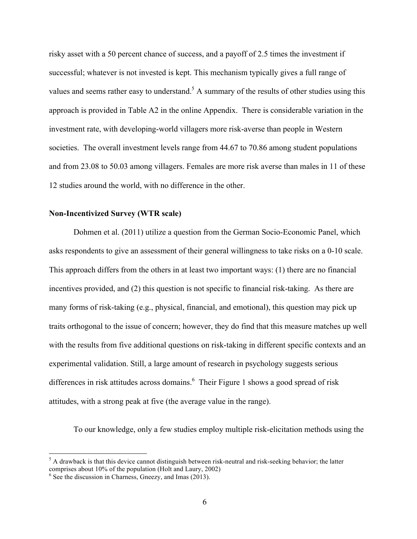risky asset with a 50 percent chance of success, and a payoff of 2.5 times the investment if successful; whatever is not invested is kept. This mechanism typically gives a full range of values and seems rather easy to understand.<sup>5</sup> A summary of the results of other studies using this approach is provided in Table A2 in the online Appendix. There is considerable variation in the investment rate, with developing-world villagers more risk-averse than people in Western societies. The overall investment levels range from 44.67 to 70.86 among student populations and from 23.08 to 50.03 among villagers. Females are more risk averse than males in 11 of these 12 studies around the world, with no difference in the other.

## **Non-Incentivized Survey (WTR scale)**

 Dohmen et al. (2011) utilize a question from the German Socio-Economic Panel, which asks respondents to give an assessment of their general willingness to take risks on a 0-10 scale. This approach differs from the others in at least two important ways: (1) there are no financial incentives provided, and (2) this question is not specific to financial risk-taking. As there are many forms of risk-taking (e.g., physical, financial, and emotional), this question may pick up traits orthogonal to the issue of concern; however, they do find that this measure matches up well with the results from five additional questions on risk-taking in different specific contexts and an experimental validation. Still, a large amount of research in psychology suggests serious differences in risk attitudes across domains.<sup>6</sup> Their Figure 1 shows a good spread of risk attitudes, with a strong peak at five (the average value in the range).

To our knowledge, only a few studies employ multiple risk-elicitation methods using the

<u> 1989 - Johann Stein, fransk politik (d. 1989)</u>

 $<sup>5</sup>$  A drawback is that this device cannot distinguish between risk-neutral and risk-seeking behavior; the latter</sup> comprises about 10% of the population (Holt and Laury, 2002)

 $<sup>6</sup>$  See the discussion in Charness, Gneezy, and Imas (2013).</sup>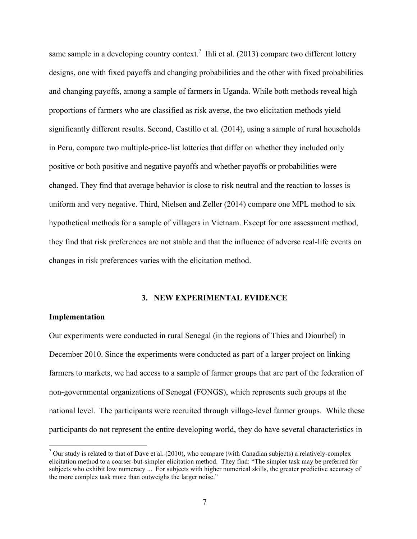same sample in a developing country context.<sup>7</sup> Ihli et al. (2013) compare two different lottery designs, one with fixed payoffs and changing probabilities and the other with fixed probabilities and changing payoffs, among a sample of farmers in Uganda. While both methods reveal high proportions of farmers who are classified as risk averse, the two elicitation methods yield significantly different results. Second, Castillo et al. (2014), using a sample of rural households in Peru, compare two multiple-price-list lotteries that differ on whether they included only positive or both positive and negative payoffs and whether payoffs or probabilities were changed. They find that average behavior is close to risk neutral and the reaction to losses is uniform and very negative. Third, Nielsen and Zeller (2014) compare one MPL method to six hypothetical methods for a sample of villagers in Vietnam. Except for one assessment method, they find that risk preferences are not stable and that the influence of adverse real-life events on changes in risk preferences varies with the elicitation method.

#### **3. NEW EXPERIMENTAL EVIDENCE**

#### **Implementation**

Our experiments were conducted in rural Senegal (in the regions of Thies and Diourbel) in December 2010. Since the experiments were conducted as part of a larger project on linking farmers to markets, we had access to a sample of farmer groups that are part of the federation of non-governmental organizations of Senegal (FONGS), which represents such groups at the national level. The participants were recruited through village-level farmer groups. While these participants do not represent the entire developing world, they do have several characteristics in

<sup>&</sup>lt;sup>7</sup> Our study is related to that of Dave et al. (2010), who compare (with Canadian subjects) a relatively-complex elicitation method to a coarser-but-simpler elicitation method. They find: "The simpler task may be preferred for subjects who exhibit low numeracy ... For subjects with higher numerical skills, the greater predictive accuracy of the more complex task more than outweighs the larger noise."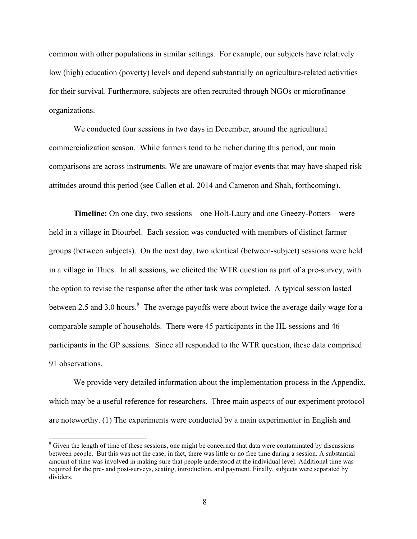common with other populations in similar settings. For example, our subjects have relatively low (high) education (poverty) levels and depend substantially on agriculture-related activities for their survival. Furthermore, subjects are often recruited through NGOs or microfinance organizations.

We conducted four sessions in two days in December, around the agricultural commercialization season. While farmers tend to be richer during this period, our main comparisons are across instruments. We are unaware of major events that may have shaped risk attitudes around this period (see Callen et al. 2014 and Cameron and Shah, forthcoming).

**Timeline:** On one day, two sessions—one Holt-Laury and one Gneezy-Potters—were held in a village in Diourbel. Each session was conducted with members of distinct farmer groups (between subjects). On the next day, two identical (between-subject) sessions were held in a village in Thies. In all sessions, we elicited the WTR question as part of a pre-survey, with the option to revise the response after the other task was completed. A typical session lasted between 2.5 and 3.0 hours. $8\text{ }$  The average payoffs were about twice the average daily wage for a comparable sample of households. There were 45 participants in the HL sessions and 46 participants in the GP sessions. Since all responded to the WTR question, these data comprised 91 observations.

We provide very detailed information about the implementation process in the Appendix, which may be a useful reference for researchers. Three main aspects of our experiment protocol are noteworthy. (1) The experiments were conducted by a main experimenter in English and

 $8$  Given the length of time of these sessions, one might be concerned that data were contaminated by discussions between people. But this was not the case; in fact, there was little or no free time during a session. A substantial amount of time was involved in making sure that people understood at the individual level. Additional time was required for the pre- and post-surveys, seating, introduction, and payment. Finally, subjects were separated by dividers.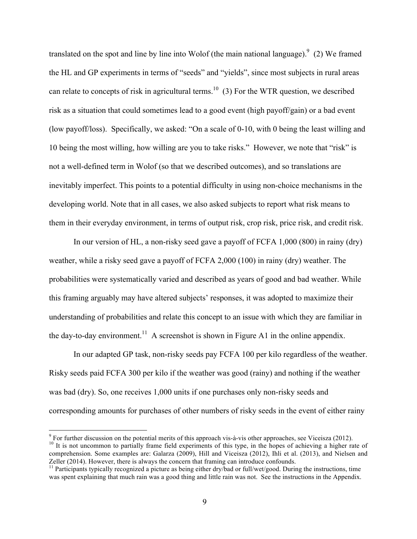translated on the spot and line by line into Wolof (the main national language). $9$  (2) We framed the HL and GP experiments in terms of "seeds" and "yields", since most subjects in rural areas can relate to concepts of risk in agricultural terms.<sup>10</sup> (3) For the WTR question, we described risk as a situation that could sometimes lead to a good event (high payoff/gain) or a bad event (low payoff/loss). Specifically, we asked: "On a scale of 0-10, with 0 being the least willing and 10 being the most willing, how willing are you to take risks." However, we note that "risk" is not a well-defined term in Wolof (so that we described outcomes), and so translations are inevitably imperfect. This points to a potential difficulty in using non-choice mechanisms in the developing world. Note that in all cases, we also asked subjects to report what risk means to them in their everyday environment, in terms of output risk, crop risk, price risk, and credit risk.

In our version of HL, a non-risky seed gave a payoff of FCFA 1,000 (800) in rainy (dry) weather, while a risky seed gave a payoff of FCFA 2,000 (100) in rainy (dry) weather. The probabilities were systematically varied and described as years of good and bad weather. While this framing arguably may have altered subjects' responses, it was adopted to maximize their understanding of probabilities and relate this concept to an issue with which they are familiar in the day-to-day environment.<sup>11</sup> A screenshot is shown in Figure A1 in the online appendix.

In our adapted GP task, non-risky seeds pay FCFA 100 per kilo regardless of the weather. Risky seeds paid FCFA 300 per kilo if the weather was good (rainy) and nothing if the weather was bad (dry). So, one receives 1,000 units if one purchases only non-risky seeds and corresponding amounts for purchases of other numbers of risky seeds in the event of either rainy

<sup>&</sup>lt;sup>9</sup> For further discussion on the potential merits of this approach vis-à-vis other approaches, see Viceisza (2012).<br><sup>10</sup> It is not uncommon to partially frame field experiments of this type, in the hopes of achieving a h comprehension. Some examples are: Galarza (2009), Hill and Viceisza (2012), Ihli et al. (2013), and Nielsen and Zeller (2014). However, there is always the concern that framing can introduce confounds.

 $11$  Participants typically recognized a picture as being either dry/bad or full/wet/good. During the instructions, time was spent explaining that much rain was a good thing and little rain was not. See the instructions in the Appendix.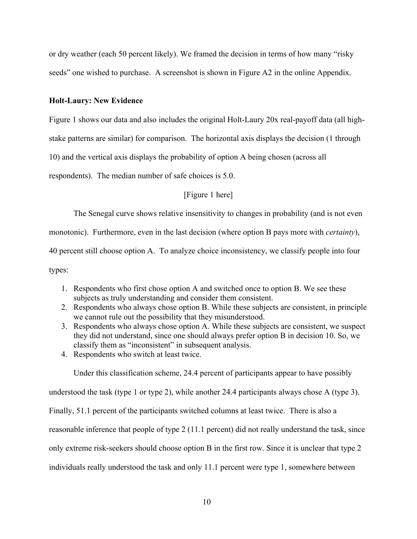or dry weather (each 50 percent likely). We framed the decision in terms of how many "risky seeds" one wished to purchase. A screenshot is shown in Figure A2 in the online Appendix.

#### **Holt-Laury: New Evidence**

Figure 1 shows our data and also includes the original Holt-Laury 20x real-payoff data (all high-

stake patterns are similar) for comparison. The horizontal axis displays the decision (1 through

10) and the vertical axis displays the probability of option A being chosen (across all

respondents). The median number of safe choices is 5.0.

[Figure 1 here]

The Senegal curve shows relative insensitivity to changes in probability (and is not even

monotonic). Furthermore, even in the last decision (where option B pays more with *certainty*),

40 percent still choose option A. To analyze choice inconsistency, we classify people into four

types:

- 1. Respondents who first chose option A and switched once to option B. We see these subjects as truly understanding and consider them consistent.
- 2. Respondents who always chose option B. While these subjects are consistent, in principle we cannot rule out the possibility that they misunderstood.
- 3. Respondents who always chose option A. While these subjects are consistent, we suspect they did not understand, since one should always prefer option B in decision 10. So, we classify them as "inconsistent" in subsequent analysis.
- 4. Respondents who switch at least twice.

Under this classification scheme, 24.4 percent of participants appear to have possibly

understood the task (type 1 or type 2), while another 24.4 participants always chose A (type 3).

Finally, 51.1 percent of the participants switched columns at least twice. There is also a

reasonable inference that people of type 2 (11.1 percent) did not really understand the task, since

only extreme risk-seekers should choose option B in the first row. Since it is unclear that type 2

individuals really understood the task and only 11.1 percent were type 1, somewhere between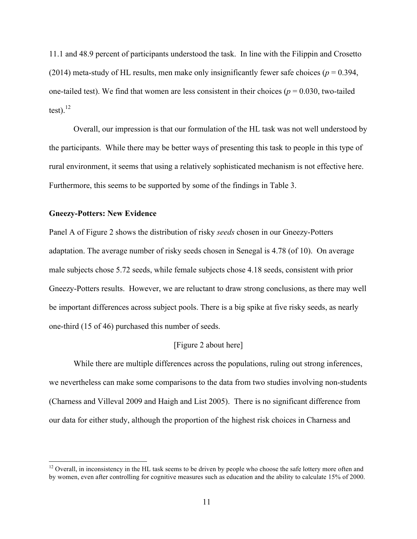11.1 and 48.9 percent of participants understood the task. In line with the Filippin and Crosetto (2014) meta-study of HL results, men make only insignificantly fewer safe choices ( $p = 0.394$ , one-tailed test). We find that women are less consistent in their choices ( $p = 0.030$ , two-tailed test). $^{12}$ 

Overall, our impression is that our formulation of the HL task was not well understood by the participants. While there may be better ways of presenting this task to people in this type of rural environment, it seems that using a relatively sophisticated mechanism is not effective here. Furthermore, this seems to be supported by some of the findings in Table 3.

#### **Gneezy-Potters: New Evidence**

Panel A of Figure 2 shows the distribution of risky *seeds* chosen in our Gneezy-Potters adaptation. The average number of risky seeds chosen in Senegal is 4.78 (of 10). On average male subjects chose 5.72 seeds, while female subjects chose 4.18 seeds, consistent with prior Gneezy-Potters results. However, we are reluctant to draw strong conclusions, as there may well be important differences across subject pools. There is a big spike at five risky seeds, as nearly one-third (15 of 46) purchased this number of seeds.

### [Figure 2 about here]

 While there are multiple differences across the populations, ruling out strong inferences, we nevertheless can make some comparisons to the data from two studies involving non-students (Charness and Villeval 2009 and Haigh and List 2005). There is no significant difference from our data for either study, although the proportion of the highest risk choices in Charness and

 $12$  Overall, in inconsistency in the HL task seems to be driven by people who choose the safe lottery more often and by women, even after controlling for cognitive measures such as education and the ability to calculate 15% of 2000.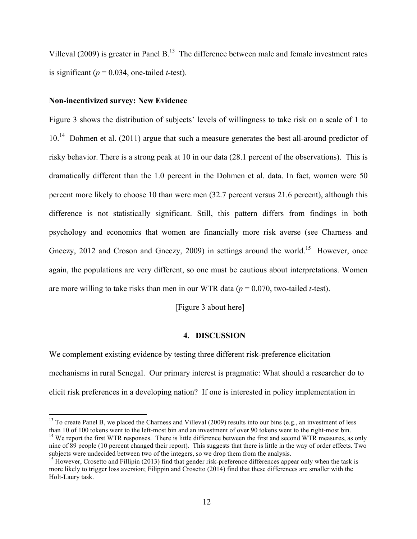Villeval (2009) is greater in Panel B.<sup>13</sup> The difference between male and female investment rates is significant ( $p = 0.034$ , one-tailed *t*-test).

### **Non-incentivized survey: New Evidence**

<u> 1989 - Johann Stein, fransk politik (d. 1989)</u>

Figure 3 shows the distribution of subjects' levels of willingness to take risk on a scale of 1 to  $10<sup>14</sup>$  Dohmen et al. (2011) argue that such a measure generates the best all-around predictor of risky behavior. There is a strong peak at 10 in our data (28.1 percent of the observations). This is dramatically different than the 1.0 percent in the Dohmen et al. data. In fact, women were 50 percent more likely to choose 10 than were men (32.7 percent versus 21.6 percent), although this difference is not statistically significant. Still, this pattern differs from findings in both psychology and economics that women are financially more risk averse (see Charness and Gneezy, 2012 and Croson and Gneezy, 2009) in settings around the world.<sup>15</sup> However, once again, the populations are very different, so one must be cautious about interpretations. Women are more willing to take risks than men in our WTR data (*p* = 0.070, two-tailed *t*-test).

[Figure 3 about here]

#### **4. DISCUSSION**

We complement existing evidence by testing three different risk-preference elicitation mechanisms in rural Senegal. Our primary interest is pragmatic: What should a researcher do to elicit risk preferences in a developing nation? If one is interested in policy implementation in

 $13$  To create Panel B, we placed the Charness and Villeval (2009) results into our bins (e.g., an investment of less than 10 of 100 tokens went to the left-most bin and an investment of over 90 tokens went to the right-most bin.<br><sup>14</sup> We report the first WTR responses. There is little difference between the first and second WTR measures, nine of 89 people (10 percent changed their report). This suggests that there is little in the way of order effects. Two subjects were undecided between two of the integers, so we drop them from the analysis.

<sup>&</sup>lt;sup>15</sup> However, Crosetto and Fillipin (2013) find that gender risk-preference differences appear only when the task is more likely to trigger loss aversion; Filippin and Crosetto (2014) find that these differences are smaller with the Holt-Laury task.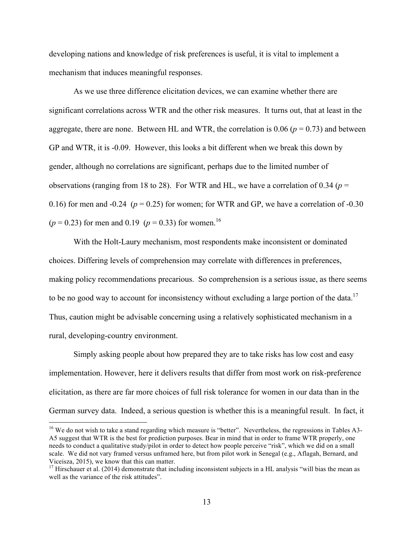developing nations and knowledge of risk preferences is useful, it is vital to implement a mechanism that induces meaningful responses.

 As we use three difference elicitation devices, we can examine whether there are significant correlations across WTR and the other risk measures. It turns out, that at least in the aggregate, there are none. Between HL and WTR, the correlation is  $0.06$  ( $p = 0.73$ ) and between GP and WTR, it is -0.09. However, this looks a bit different when we break this down by gender, although no correlations are significant, perhaps due to the limited number of observations (ranging from 18 to 28). For WTR and HL, we have a correlation of 0.34 ( $p =$ 0.16) for men and -0.24 ( $p = 0.25$ ) for women; for WTR and GP, we have a correlation of -0.30  $(p = 0.23)$  for men and 0.19  $(p = 0.33)$  for women.<sup>16</sup>

With the Holt-Laury mechanism, most respondents make inconsistent or dominated choices. Differing levels of comprehension may correlate with differences in preferences, making policy recommendations precarious. So comprehension is a serious issue, as there seems to be no good way to account for inconsistency without excluding a large portion of the data.<sup>17</sup> Thus, caution might be advisable concerning using a relatively sophisticated mechanism in a rural, developing-country environment.

Simply asking people about how prepared they are to take risks has low cost and easy implementation. However, here it delivers results that differ from most work on risk-preference elicitation, as there are far more choices of full risk tolerance for women in our data than in the German survey data. Indeed, a serious question is whether this is a meaningful result. In fact, it

<sup>&</sup>lt;sup>16</sup> We do not wish to take a stand regarding which measure is "better". Nevertheless, the regressions in Tables A3-A5 suggest that WTR is the best for prediction purposes. Bear in mind that in order to frame WTR properly, one needs to conduct a qualitative study/pilot in order to detect how people perceive "risk", which we did on a small scale. We did not vary framed versus unframed here, but from pilot work in Senegal (e.g., Aflagah, Bernard, and Viceisza, 2015), we know that this can matter.

 $17$  Hirschauer et al. (2014) demonstrate that including inconsistent subjects in a HL analysis "will bias the mean as well as the variance of the risk attitudes".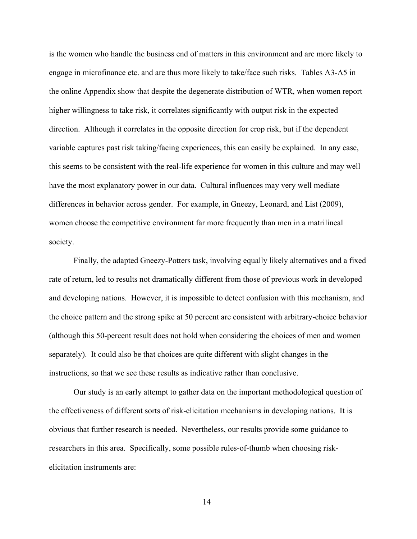is the women who handle the business end of matters in this environment and are more likely to engage in microfinance etc. and are thus more likely to take/face such risks. Tables A3-A5 in the online Appendix show that despite the degenerate distribution of WTR, when women report higher willingness to take risk, it correlates significantly with output risk in the expected direction. Although it correlates in the opposite direction for crop risk, but if the dependent variable captures past risk taking/facing experiences, this can easily be explained. In any case, this seems to be consistent with the real-life experience for women in this culture and may well have the most explanatory power in our data. Cultural influences may very well mediate differences in behavior across gender. For example, in Gneezy, Leonard, and List (2009), women choose the competitive environment far more frequently than men in a matrilineal society.

Finally, the adapted Gneezy-Potters task, involving equally likely alternatives and a fixed rate of return, led to results not dramatically different from those of previous work in developed and developing nations. However, it is impossible to detect confusion with this mechanism, and the choice pattern and the strong spike at 50 percent are consistent with arbitrary-choice behavior (although this 50-percent result does not hold when considering the choices of men and women separately). It could also be that choices are quite different with slight changes in the instructions, so that we see these results as indicative rather than conclusive.

Our study is an early attempt to gather data on the important methodological question of the effectiveness of different sorts of risk-elicitation mechanisms in developing nations. It is obvious that further research is needed. Nevertheless, our results provide some guidance to researchers in this area. Specifically, some possible rules-of-thumb when choosing riskelicitation instruments are: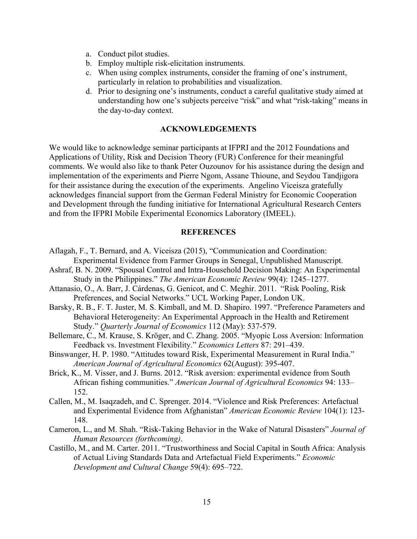- a. Conduct pilot studies.
- b. Employ multiple risk-elicitation instruments.
- c. When using complex instruments, consider the framing of one's instrument, particularly in relation to probabilities and visualization.
- d. Prior to designing one's instruments, conduct a careful qualitative study aimed at understanding how one's subjects perceive "risk" and what "risk-taking" means in the day-to-day context.

### **ACKNOWLEDGEMENTS**

We would like to acknowledge seminar participants at IFPRI and the 2012 Foundations and Applications of Utility, Risk and Decision Theory (FUR) Conference for their meaningful comments. We would also like to thank Peter Ouzounov for his assistance during the design and implementation of the experiments and Pierre Ngom, Assane Thioune, and Seydou Tandjigora for their assistance during the execution of the experiments. Angelino Viceisza gratefully acknowledges financial support from the German Federal Ministry for Economic Cooperation and Development through the funding initiative for International Agricultural Research Centers and from the IFPRI Mobile Experimental Economics Laboratory (IMEEL).

#### **REFERENCES**

- Aflagah, F., T. Bernard, and A. Viceisza (2015), "Communication and Coordination: Experimental Evidence from Farmer Groups in Senegal, Unpublished Manuscript.
- Ashraf, B. N. 2009. "Spousal Control and Intra-Household Decision Making: An Experimental Study in the Philippines." *The American Economic Review* 99(4): 1245–1277.
- Attanasio, O., A. Barr, J. Cárdenas, G. Genicot, and C. Meghir. 2011. "Risk Pooling, Risk Preferences, and Social Networks." UCL Working Paper, London UK.
- Barsky, R. B., F. T. Juster, M. S. Kimball, and M. D. Shapiro. 1997. "Preference Parameters and Behavioral Heterogeneity: An Experimental Approach in the Health and Retirement Study." *Quarterly Journal of Economics* 112 (May): 537-579.
- Bellemare, C., M. Krause, S. Kröger, and C. Zhang. 2005. "Myopic Loss Aversion: Information Feedback vs. Investment Flexibility." *Economics Letters* 87: 291–439.
- Binswanger, H. P. 1980. "Attitudes toward Risk, Experimental Measurement in Rural India." *American Journal of Agricultural Economics* 62(August): 395-407.
- Brick, K., M. Visser, and J. Burns. 2012. "Risk aversion: experimental evidence from South African fishing communities." *American Journal of Agricultural Economics* 94: 133– 152.
- Callen, M., M. Isaqzadeh, and C. Sprenger. 2014. "Violence and Risk Preferences: Artefactual and Experimental Evidence from Afghanistan" *American Economic Review* 104(1): 123- 148.
- Cameron, L., and M. Shah. "Risk-Taking Behavior in the Wake of Natural Disasters" *Journal of Human Resources (forthcoming)*.
- Castillo, M., and M. Carter. 2011. "Trustworthiness and Social Capital in South Africa: Analysis of Actual Living Standards Data and Artefactual Field Experiments." *Economic Development and Cultural Change* 59(4): 695–722.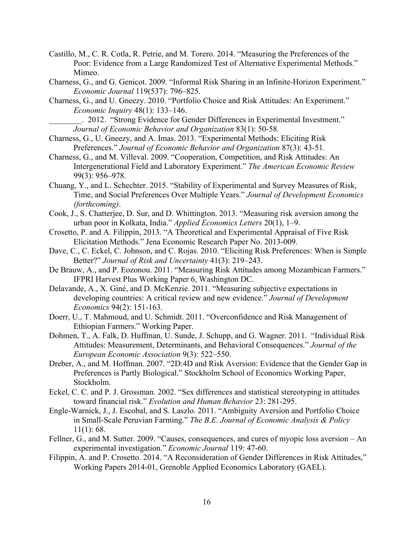- Castillo, M., C. R. Cotla, R. Petrie, and M. Torero. 2014. "Measuring the Preferences of the Poor: Evidence from a Large Randomized Test of Alternative Experimental Methods." Mimeo.
- Charness, G., and G. Genicot. 2009. "Informal Risk Sharing in an Infinite-Horizon Experiment." *Economic Journal* 119(537): 796–825.
- Charness, G., and U. Gneezy. 2010. "Portfolio Choice and Risk Attitudes: An Experiment." *Economic Inquiry* 48(1): 133–146.

\_\_\_\_\_\_\_\_. 2012. "Strong Evidence for Gender Differences in Experimental Investment." *Journal of Economic Behavior and Organization* 83(1): 50-58*.* 

- Charness, G., U. Gneezy, and A. Imas. 2013. "Experimental Methods: Eliciting Risk Preferences." *Journal of Economic Behavior and Organization* 87(3): 43-51*.*
- Charness, G., and M. Villeval. 2009. "Cooperation, Competition, and Risk Attitudes: An Intergenerational Field and Laboratory Experiment." *The American Economic Review* 99(3): 956–978.
- Chuang, Y., and L. Schechter. 2015. "Stability of Experimental and Survey Measures of Risk, Time, and Social Preferences Over Multiple Years." *Journal of Development Economics (forthcoming)*.
- Cook, J., S. Chatterjee, D. Sur, and D. Whittington. 2013. "Measuring risk aversion among the urban poor in Kolkata, India." *Applied Economics Letters* 20(1), 1–9.
- Crosetto, P. and A. Filippin, 2013. "A Theoretical and Experimental Appraisal of Five Risk Elicitation Methods." Jena Economic Research Paper No. 2013-009.
- Dave, C., C. Eckel, C. Johnson, and C. Rojas. 2010. "Eliciting Risk Preferences: When is Simple Better?" *Journal of Risk and Uncertainty* 41(3): 219–243.
- De Brauw, A., and P. Eozonou. 2011. "Measuring Risk Attitudes among Mozambican Farmers." IFPRI Harvest Plus Working Paper 6, Washington DC.
- Delavande, A., X. Giné, and D. McKenzie. 2011. "Measuring subjective expectations in developing countries: A critical review and new evidence." *Journal of Development Economics* 94(2): 151-163.
- Doerr, U., T. Mahmoud, and U. Schmidt. 2011. "Overconfidence and Risk Management of Ethiopian Farmers." Working Paper.
- Dohmen, T., A. Falk, D. Huffman, U. Sunde, J. Schupp, and G. Wagner. 2011. "Individual Risk Attitudes: Measurement, Determinants, and Behavioral Consequences." *Journal of the European Economic Association* 9(3): 522–550.
- Dreber, A., and M. Hoffman. 2007. "2D:4D and Risk Aversion: Evidence that the Gender Gap in Preferences is Partly Biological." Stockholm School of Economics Working Paper, Stockholm.
- Eckel, C. C. and P. J. Grossman. 2002. "Sex differences and statistical stereotyping in attitudes toward financial risk." *Evolution and Human Behavior* 23: 281-295.
- Engle-Warnick, J., J. Escobal, and S. Laszlo. 2011. "Ambiguity Aversion and Portfolio Choice in Small-Scale Peruvian Farming." *The B.E. Journal of Economic Analysis & Policy*  $11(1): 68.$
- Fellner, G., and M. Sutter. 2009. "Causes, consequences, and cures of myopic loss aversion An experimental investigation." *Economic Journal* 119: 47-60.
- Filippin, A. and P. Crosetto. 2014. "A Reconsideration of Gender Differences in Risk Attitudes," Working Papers 2014-01, Grenoble Applied Economics Laboratory (GAEL).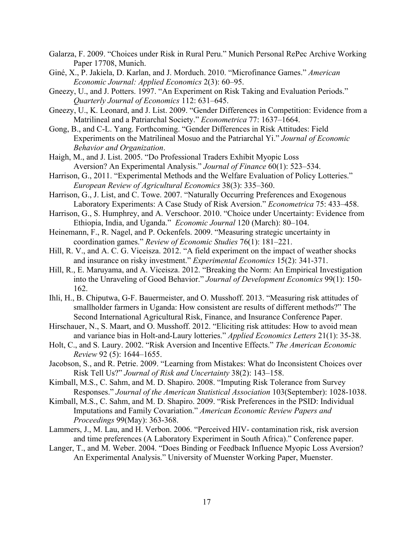- Galarza, F. 2009. "Choices under Risk in Rural Peru." Munich Personal RePec Archive Working Paper 17708, Munich.
- Giné, X., P. Jakiela, D. Karlan, and J. Morduch. 2010. "Microfinance Games." *American Economic Journal: Applied Economics* 2(3): 60–95.
- Gneezy, U., and J. Potters. 1997. "An Experiment on Risk Taking and Evaluation Periods." *Quarterly Journal of Economics* 112: 631–645.
- Gneezy, U., K. Leonard, and J. List. 2009. "Gender Differences in Competition: Evidence from a Matrilineal and a Patriarchal Society." *Econometrica* 77: 1637–1664.
- Gong, B., and C-L. Yang. Forthcoming. "Gender Differences in Risk Attitudes: Field Experiments on the Matrilineal Mosuo and the Patriarchal Yi." *Journal of Economic Behavior and Organization*.
- Haigh, M., and J. List. 2005. "Do Professional Traders Exhibit Myopic Loss Aversion? An Experimental Analysis." *Journal of Finance* 60(1): 523–534.
- Harrison, G., 2011. "Experimental Methods and the Welfare Evaluation of Policy Lotteries." *European Review of Agricultural Economics* 38(3): 335–360.
- Harrison, G., J. List, and C. Towe. 2007. "Naturally Occurring Preferences and Exogenous Laboratory Experiments: A Case Study of Risk Aversion." *Econometrica* 75: 433–458.
- Harrison, G., S. Humphrey, and A. Verschoor. 2010. "Choice under Uncertainty: Evidence from Ethiopia, India, and Uganda." *Economic Journal* 120 (March): 80–104.
- Heinemann, F., R. Nagel, and P. Ockenfels. 2009. "Measuring strategic uncertainty in coordination games." *Review of Economic Studies* 76(1): 181–221.
- Hill, R. V., and A. C. G. Viceisza. 2012. "A field experiment on the impact of weather shocks and insurance on risky investment." *Experimental Economics* 15(2): 341-371.
- Hill, R., E. Maruyama, and A. Viceisza. 2012. "Breaking the Norm: An Empirical Investigation into the Unraveling of Good Behavior." *Journal of Development Economics* 99(1): 150- 162.
- Ihli, H., B. Chiputwa, G-F. Bauermeister, and O. Musshoff. 2013. "Measuring risk attitudes of smallholder farmers in Uganda: How consistent are results of different methods?" The Second International Agricultural Risk, Finance, and Insurance Conference Paper.
- Hirschauer, N., S. Maart, and O. Musshoff. 2012. "Eliciting risk attitudes: How to avoid mean and variance bias in Holt-and-Laury lotteries." *Applied Economics Letters* 21(1): 35-38.
- Holt, C., and S. Laury. 2002. "Risk Aversion and Incentive Effects." *The American Economic Review* 92 (5): 1644–1655.
- Jacobson, S., and R. Petrie. 2009. "Learning from Mistakes: What do Inconsistent Choices over Risk Tell Us?" *Journal of Risk and Uncertainty* 38(2): 143–158.
- Kimball, M.S., C. Sahm, and M. D. Shapiro. 2008. "Imputing Risk Tolerance from Survey Responses." *Journal of the American Statistical Association* 103(September): 1028-1038.
- Kimball, M.S., C. Sahm, and M. D. Shapiro. 2009. "Risk Preferences in the PSID: Individual Imputations and Family Covariation." *American Economic Review Papers and Proceedings* 99(May): 363-368.
- Lammers, J., M. Lau, and H. Verbon. 2006. "Perceived HIV- contamination risk, risk aversion and time preferences (A Laboratory Experiment in South Africa)." Conference paper.
- Langer, T., and M. Weber. 2004. "Does Binding or Feedback Influence Myopic Loss Aversion? An Experimental Analysis." University of Muenster Working Paper, Muenster.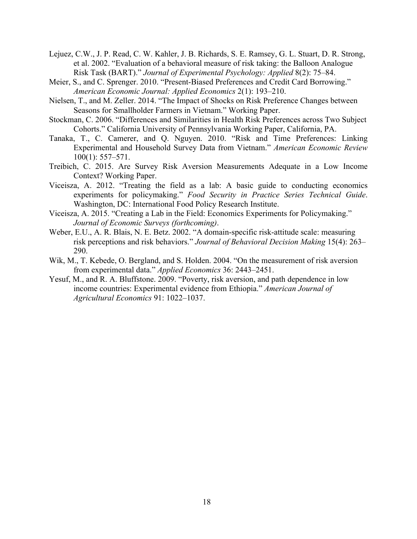- Lejuez, C.W., J. P. Read, C. W. Kahler, J. B. Richards, S. E. Ramsey, G. L. Stuart, D. R. Strong, et al. 2002. "Evaluation of a behavioral measure of risk taking: the Balloon Analogue Risk Task (BART)." *Journal of Experimental Psychology: Applied* 8(2): 75–84.
- Meier, S., and C. Sprenger. 2010. "Present-Biased Preferences and Credit Card Borrowing." *American Economic Journal: Applied Economics* 2(1): 193–210.
- Nielsen, T., and M. Zeller. 2014. "The Impact of Shocks on Risk Preference Changes between Seasons for Smallholder Farmers in Vietnam." Working Paper.
- Stockman, C. 2006. "Differences and Similarities in Health Risk Preferences across Two Subject Cohorts." California University of Pennsylvania Working Paper, California, PA.
- Tanaka, T., C. Camerer, and Q. Nguyen. 2010. "Risk and Time Preferences: Linking Experimental and Household Survey Data from Vietnam." *American Economic Review* 100(1): 557–571.
- Treibich, C. 2015. Are Survey Risk Aversion Measurements Adequate in a Low Income Context? Working Paper.
- Viceisza, A. 2012. "Treating the field as a lab: A basic guide to conducting economics experiments for policymaking." *Food Security in Practice Series Technical Guide*. Washington, DC: International Food Policy Research Institute.
- Viceisza, A. 2015. "Creating a Lab in the Field: Economics Experiments for Policymaking." *Journal of Economic Surveys (forthcoming)*.
- Weber, E.U., A. R. Blais, N. E. Betz. 2002. "A domain-specific risk-attitude scale: measuring risk perceptions and risk behaviors." *Journal of Behavioral Decision Making* 15(4): 263– 290.
- Wik, M., T. Kebede, O. Bergland, and S. Holden. 2004. "On the measurement of risk aversion from experimental data." *Applied Economics* 36: 2443–2451.
- Yesuf, M., and R. A. Bluffstone. 2009. "Poverty, risk aversion, and path dependence in low income countries: Experimental evidence from Ethiopia." *American Journal of Agricultural Economics* 91: 1022–1037.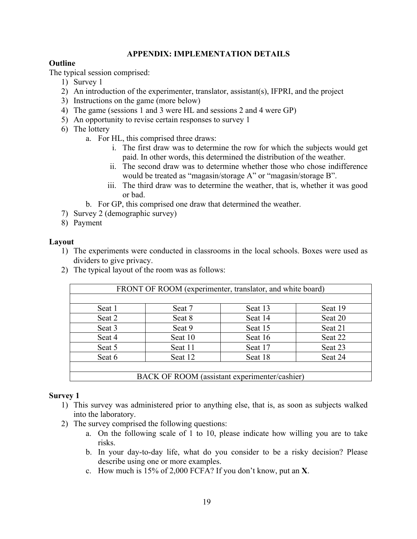## **APPENDIX: IMPLEMENTATION DETAILS**

## **Outline**

The typical session comprised:

- 1) Survey 1
- 2) An introduction of the experimenter, translator, assistant(s), IFPRI, and the project
- 3) Instructions on the game (more below)
- 4) The game (sessions 1 and 3 were HL and sessions 2 and 4 were GP)
- 5) An opportunity to revise certain responses to survey 1
- 6) The lottery
	- a. For HL, this comprised three draws:
		- i. The first draw was to determine the row for which the subjects would get paid. In other words, this determined the distribution of the weather.
		- ii. The second draw was to determine whether those who chose indifference would be treated as "magasin/storage A" or "magasin/storage B".
		- iii. The third draw was to determine the weather, that is, whether it was good or bad.
	- b. For GP, this comprised one draw that determined the weather.
- 7) Survey 2 (demographic survey)
- 8) Payment

## **Layout**

- 1) The experiments were conducted in classrooms in the local schools. Boxes were used as dividers to give privacy.
- 2) The typical layout of the room was as follows:

|        | FRONT OF ROOM (experimenter, translator, and white board) |         |         |  |  |  |  |
|--------|-----------------------------------------------------------|---------|---------|--|--|--|--|
| Seat 1 | Seat 7                                                    | Seat 13 | Seat 19 |  |  |  |  |
| Seat 2 | Seat 8                                                    | Seat 14 | Seat 20 |  |  |  |  |
| Seat 3 | Seat 9                                                    | Seat 15 | Seat 21 |  |  |  |  |
| Seat 4 | Seat 10                                                   | Seat 16 | Seat 22 |  |  |  |  |
| Seat 5 | Seat 11                                                   | Seat 17 | Seat 23 |  |  |  |  |
| Seat 6 | Seat 12<br>Seat 24<br>Seat 18                             |         |         |  |  |  |  |
|        |                                                           |         |         |  |  |  |  |
|        | BACK OF ROOM (assistant experimenter/cashier)             |         |         |  |  |  |  |

## **Survey 1**

- 1) This survey was administered prior to anything else, that is, as soon as subjects walked into the laboratory.
- 2) The survey comprised the following questions:
	- a. On the following scale of 1 to 10, please indicate how willing you are to take risks.
	- b. In your day-to-day life, what do you consider to be a risky decision? Please describe using one or more examples.
	- c. How much is 15% of 2,000 FCFA? If you don't know, put an **X**.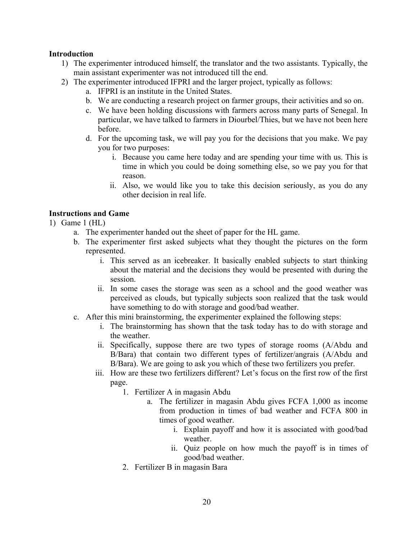## **Introduction**

- 1) The experimenter introduced himself, the translator and the two assistants. Typically, the main assistant experimenter was not introduced till the end.
- 2) The experimenter introduced IFPRI and the larger project, typically as follows:
	- a. IFPRI is an institute in the United States.
	- b. We are conducting a research project on farmer groups, their activities and so on.
	- c. We have been holding discussions with farmers across many parts of Senegal. In particular, we have talked to farmers in Diourbel/Thies, but we have not been here before.
	- d. For the upcoming task, we will pay you for the decisions that you make. We pay you for two purposes:
		- i. Because you came here today and are spending your time with us. This is time in which you could be doing something else, so we pay you for that reason.
		- ii. Also, we would like you to take this decision seriously, as you do any other decision in real life.

## **Instructions and Game**

- 1) Game 1 (HL)
	- a. The experimenter handed out the sheet of paper for the HL game.
	- b. The experimenter first asked subjects what they thought the pictures on the form represented.
		- i. This served as an icebreaker. It basically enabled subjects to start thinking about the material and the decisions they would be presented with during the session.
		- ii. In some cases the storage was seen as a school and the good weather was perceived as clouds, but typically subjects soon realized that the task would have something to do with storage and good/bad weather.
	- c. After this mini brainstorming, the experimenter explained the following steps:
		- i. The brainstorming has shown that the task today has to do with storage and the weather.
		- ii. Specifically, suppose there are two types of storage rooms (A/Abdu and B/Bara) that contain two different types of fertilizer/angrais (A/Abdu and B/Bara). We are going to ask you which of these two fertilizers you prefer.
		- iii. How are these two fertilizers different? Let's focus on the first row of the first page.
			- 1. Fertilizer A in magasin Abdu
				- a. The fertilizer in magasin Abdu gives FCFA 1,000 as income from production in times of bad weather and FCFA 800 in times of good weather.
					- i. Explain payoff and how it is associated with good/bad weather.
					- ii. Quiz people on how much the payoff is in times of good/bad weather.
			- 2. Fertilizer B in magasin Bara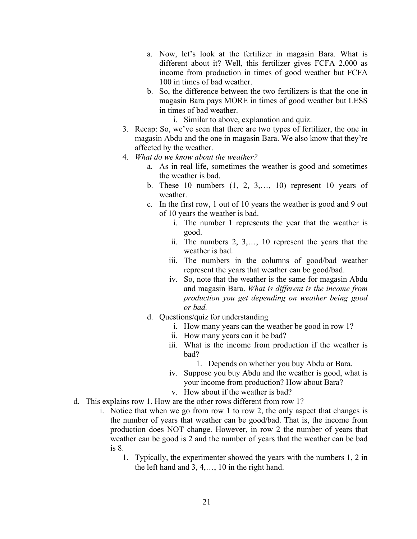- a. Now, let's look at the fertilizer in magasin Bara. What is different about it? Well, this fertilizer gives FCFA 2,000 as income from production in times of good weather but FCFA 100 in times of bad weather.
- b. So, the difference between the two fertilizers is that the one in magasin Bara pays MORE in times of good weather but LESS in times of bad weather.
	- i. Similar to above, explanation and quiz.
- 3. Recap: So, we've seen that there are two types of fertilizer, the one in magasin Abdu and the one in magasin Bara. We also know that they're affected by the weather.
- 4. *What do we know about the weather?*
	- a. As in real life, sometimes the weather is good and sometimes the weather is bad.
	- b. These 10 numbers  $(1, 2, 3, \ldots, 10)$  represent 10 years of weather.
	- c. In the first row, 1 out of 10 years the weather is good and 9 out of 10 years the weather is bad.
		- i. The number 1 represents the year that the weather is good.
		- ii. The numbers 2, 3,…, 10 represent the years that the weather is bad.
		- iii. The numbers in the columns of good/bad weather represent the years that weather can be good/bad.
		- iv. So, note that the weather is the same for magasin Abdu and magasin Bara. *What is different is the income from production you get depending on weather being good or bad.*
	- d. Questions/quiz for understanding
		- i. How many years can the weather be good in row 1?
		- ii. How many years can it be bad?
		- iii. What is the income from production if the weather is bad?
			- 1. Depends on whether you buy Abdu or Bara.
		- iv. Suppose you buy Abdu and the weather is good, what is your income from production? How about Bara?
		- v. How about if the weather is bad?
- d. This explains row 1. How are the other rows different from row 1?
	- i. Notice that when we go from row 1 to row 2, the only aspect that changes is the number of years that weather can be good/bad. That is, the income from production does NOT change. However, in row 2 the number of years that weather can be good is 2 and the number of years that the weather can be bad is 8.
		- 1. Typically, the experimenter showed the years with the numbers 1, 2 in the left hand and 3, 4,…, 10 in the right hand.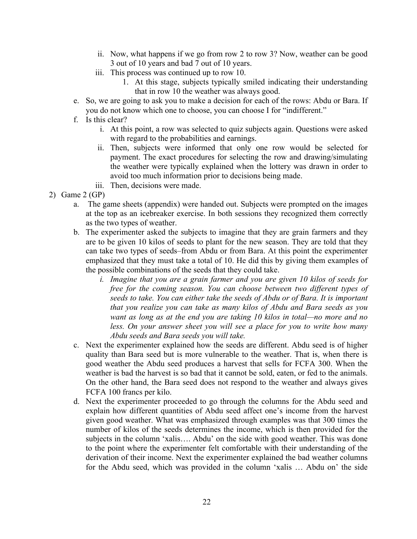- ii. Now, what happens if we go from row 2 to row 3? Now, weather can be good 3 out of 10 years and bad 7 out of 10 years.
- iii. This process was continued up to row 10.
	- 1. At this stage, subjects typically smiled indicating their understanding that in row 10 the weather was always good.
- e. So, we are going to ask you to make a decision for each of the rows: Abdu or Bara. If you do not know which one to choose, you can choose I for "indifferent."
- f. Is this clear?
	- i. At this point, a row was selected to quiz subjects again. Questions were asked with regard to the probabilities and earnings.
	- ii. Then, subjects were informed that only one row would be selected for payment. The exact procedures for selecting the row and drawing/simulating the weather were typically explained when the lottery was drawn in order to avoid too much information prior to decisions being made.
	- iii. Then, decisions were made.
- 2) Game 2 (GP)
	- a. The game sheets (appendix) were handed out. Subjects were prompted on the images at the top as an icebreaker exercise. In both sessions they recognized them correctly as the two types of weather.
	- b. The experimenter asked the subjects to imagine that they are grain farmers and they are to be given 10 kilos of seeds to plant for the new season. They are told that they can take two types of seeds–from Abdu or from Bara. At this point the experimenter emphasized that they must take a total of 10. He did this by giving them examples of the possible combinations of the seeds that they could take.
		- *i. Imagine that you are a grain farmer and you are given 10 kilos of seeds for free for the coming season. You can choose between two different types of seeds to take. You can either take the seeds of Abdu or of Bara. It is important that you realize you can take as many kilos of Abdu and Bara seeds as you want as long as at the end you are taking 10 kilos in total—no more and no*  less. On your answer sheet you will see a place for you to write how many *Abdu seeds and Bara seeds you will take.*
	- c. Next the experimenter explained how the seeds are different. Abdu seed is of higher quality than Bara seed but is more vulnerable to the weather. That is, when there is good weather the Abdu seed produces a harvest that sells for FCFA 300. When the weather is bad the harvest is so bad that it cannot be sold, eaten, or fed to the animals. On the other hand, the Bara seed does not respond to the weather and always gives FCFA 100 francs per kilo.
	- d. Next the experimenter proceeded to go through the columns for the Abdu seed and explain how different quantities of Abdu seed affect one's income from the harvest given good weather. What was emphasized through examples was that 300 times the number of kilos of the seeds determines the income, which is then provided for the subjects in the column 'xalis…. Abdu' on the side with good weather. This was done to the point where the experimenter felt comfortable with their understanding of the derivation of their income. Next the experimenter explained the bad weather columns for the Abdu seed, which was provided in the column 'xalis … Abdu on' the side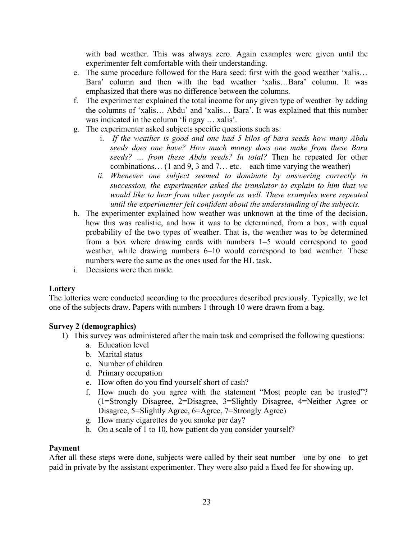with bad weather. This was always zero. Again examples were given until the experimenter felt comfortable with their understanding.

- e. The same procedure followed for the Bara seed: first with the good weather 'xalis… Bara' column and then with the bad weather 'xalis…Bara' column. It was emphasized that there was no difference between the columns.
- f. The experimenter explained the total income for any given type of weather–by adding the columns of 'xalis… Abdu' and 'xalis… Bara'. It was explained that this number was indicated in the column 'li ngay … xalis'.
- g. The experimenter asked subjects specific questions such as:
	- i. *If the weather is good and one had 5 kilos of bara seeds how many Abdu seeds does one have? How much money does one make from these Bara seeds? … from these Abdu seeds? In total?* Then he repeated for other combinations… (1 and 9, 3 and 7… etc. – each time varying the weather)
	- *ii. Whenever one subject seemed to dominate by answering correctly in succession, the experimenter asked the translator to explain to him that we would like to hear from other people as well. These examples were repeated until the experimenter felt confident about the understanding of the subjects.*
- h. The experimenter explained how weather was unknown at the time of the decision, how this was realistic, and how it was to be determined, from a box, with equal probability of the two types of weather. That is, the weather was to be determined from a box where drawing cards with numbers 1–5 would correspond to good weather, while drawing numbers 6–10 would correspond to bad weather. These numbers were the same as the ones used for the HL task.
- i. Decisions were then made.

## **Lottery**

The lotteries were conducted according to the procedures described previously. Typically, we let one of the subjects draw. Papers with numbers 1 through 10 were drawn from a bag.

## **Survey 2 (demographics)**

- 1) This survey was administered after the main task and comprised the following questions:
	- a. Education level
	- b. Marital status
	- c. Number of children
	- d. Primary occupation
	- e. How often do you find yourself short of cash?
	- f. How much do you agree with the statement "Most people can be trusted"? (1=Strongly Disagree, 2=Disagree, 3=Slightly Disagree, 4=Neither Agree or Disagree, 5=Slightly Agree, 6=Agree, 7=Strongly Agree)
	- g. How many cigarettes do you smoke per day?
	- h. On a scale of 1 to 10, how patient do you consider yourself?

## **Payment**

After all these steps were done, subjects were called by their seat number—one by one—to get paid in private by the assistant experimenter. They were also paid a fixed fee for showing up.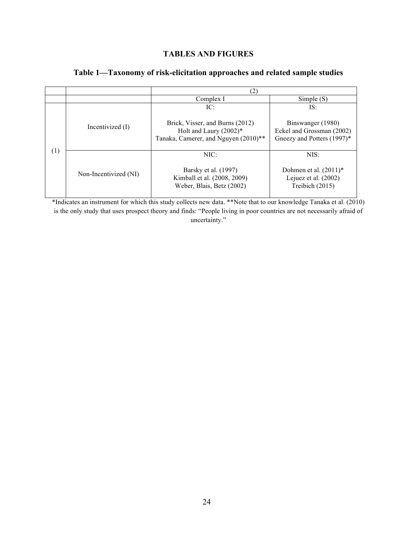## **TABLES AND FIGURES**

|     |                       | (2)                                                                                                 |                                                                              |  |  |
|-----|-----------------------|-----------------------------------------------------------------------------------------------------|------------------------------------------------------------------------------|--|--|
|     |                       | Complex I                                                                                           | Simple(S)                                                                    |  |  |
|     |                       | IC:                                                                                                 | IS:                                                                          |  |  |
|     | Incentivized (I)      | Brick, Visser, and Burns (2012)<br>Holt and Laury $(2002)*$<br>Tanaka, Camerer, and Nguyen (2010)** | Binswanger (1980)<br>Eckel and Grossman (2002)<br>Gneezy and Potters (1997)* |  |  |
| (1) | Non-Incentivized (NI) | NIC:<br>Barsky et al. (1997)<br>Kimball et al. (2008, 2009)<br>Weber, Blais, Betz (2002)            | NIS:<br>Dohmen et al. $(2011)^*$<br>Lejuez et al. (2002)<br>Treibich (2015)  |  |  |

## **Table 1—Taxonomy of risk-elicitation approaches and related sample studies**

\*Indicates an instrument for which this study collects new data. \*\*Note that to our knowledge Tanaka et al. (2010) is the only study that uses prospect theory and finds: "People living in poor countries are not necessarily afraid of uncertainty."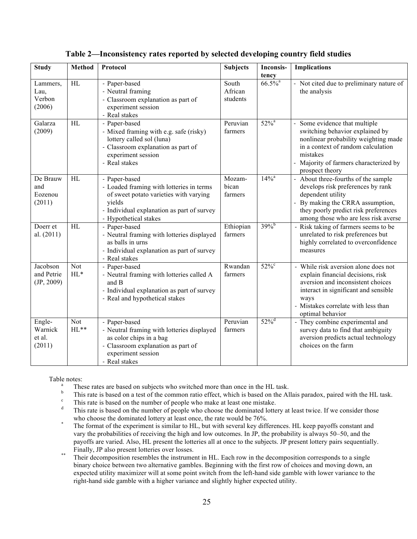| <b>Study</b>                          | <b>Method</b>        | Protocol                                                                                                                                                                             | <b>Subjects</b>              | Inconsis-<br>tency    | <b>Implications</b>                                                                                                                                                                                                                             |
|---------------------------------------|----------------------|--------------------------------------------------------------------------------------------------------------------------------------------------------------------------------------|------------------------------|-----------------------|-------------------------------------------------------------------------------------------------------------------------------------------------------------------------------------------------------------------------------------------------|
| Lammers,<br>Lau,<br>Verbon<br>(2006)  | HL                   | - Paper-based<br>- Neutral framing<br>- Classroom explanation as part of<br>experiment session<br>- Real stakes                                                                      | South<br>African<br>students | $66.5\%$ <sup>a</sup> | - Not cited due to preliminary nature of<br>the analysis                                                                                                                                                                                        |
| Galarza<br>(2009)                     | HL                   | - Paper-based<br>- Mixed framing with e.g. safe (risky)<br>lottery called sol (luna)<br>- Classroom explanation as part of<br>experiment session<br>- Real stakes                    | Peruvian<br>farmers          | $52\%$ <sup>a</sup>   | Some evidence that multiple<br>$\overline{\phantom{0}}$<br>switching behavior explained by<br>nonlinear probability weighting made<br>in a context of random calculation<br>mistakes<br>Majority of farmers characterized by<br>prospect theory |
| De Brauw<br>and<br>Eozenou<br>(2011)  | HL                   | - Paper-based<br>- Loaded framing with lotteries in terms<br>of sweet potato varieties with varying<br>yields<br>- Individual explanation as part of survey<br>- Hypothetical stakes | Mozam-<br>bican<br>farmers   | $14\%$ <sup>a</sup>   | About three-fourths of the sample<br>develops risk preferences by rank<br>dependent utility<br>By making the CRRA assumption,<br>they poorly predict risk preferences<br>among those who are less risk averse                                   |
| Doerr et<br>al. $(2011)$              | HL                   | - Paper-based<br>- Neutral framing with lotteries displayed<br>as balls in urns<br>- Individual explanation as part of survey<br>- Real stakes                                       | Ethiopian<br>farmers         | $39\%$ <sup>b</sup>   | - Risk taking of farmers seems to be<br>unrelated to risk preferences but<br>highly correlated to overconfidence<br>measures                                                                                                                    |
| Jacobson<br>and Petrie<br>(JP, 2009)  | <b>Not</b><br>$HL^*$ | - Paper-based<br>- Neutral framing with lotteries called A<br>and B<br>- Individual explanation as part of survey<br>- Real and hypothetical stakes                                  | Rwandan<br>farmers           | $52\%$                | - While risk aversion alone does not<br>explain financial decisions, risk<br>aversion and inconsistent choices<br>interact in significant and sensible<br>ways<br>- Mistakes correlate with less than<br>optimal behavior                       |
| Engle-<br>Warnick<br>et al.<br>(2011) | <b>Not</b><br>$HL**$ | - Paper-based<br>- Neutral framing with lotteries displayed<br>as color chips in a bag<br>- Classroom explanation as part of<br>experiment session<br>- Real stakes                  | Peruvian<br>farmers          | $52\%$ <sup>d</sup>   | - They combine experimental and<br>survey data to find that ambiguity<br>aversion predicts actual technology<br>choices on the farm                                                                                                             |

### **Table 2—Inconsistency rates reported by selected developing country field studies**

- Table notes:<br><sup>a</sup> These rates are based on subjects who switched more than once in the HL task.
	- This rate is based on a test of the common ratio effect, which is based on the Allais paradox, paired with the HL task.<br><sup>c</sup> This rate is based on the number of people who make at least one mistake.<br>This rate is based on t
	-
	- This rate is based on the number of people who choose the dominated lottery at least twice. If we consider those
	- who choose the dominated lottery at least once, the rate would be 76%.<br>The format of the experiment is similar to HL, but with several key differences. HL keep payoffs constant and vary the probabilities of receiving the high and low outcomes. In JP, the probability is always 50–50, and the payoffs are varied. Also, HL present the lotteries all at once to the subjects. JP present lottery pairs sequentially.
	- Finally, JP also present lotteries over losses.<br>Their decomposition resembles the instrument in HL. Each row in the decomposition corresponds to a single binary choice between two alternative gambles. Beginning with the first row of choices and moving down, an expected utility maximizer will at some point switch from the left-hand side gamble with lower variance to the right-hand side gamble with a higher variance and slightly higher expected utility.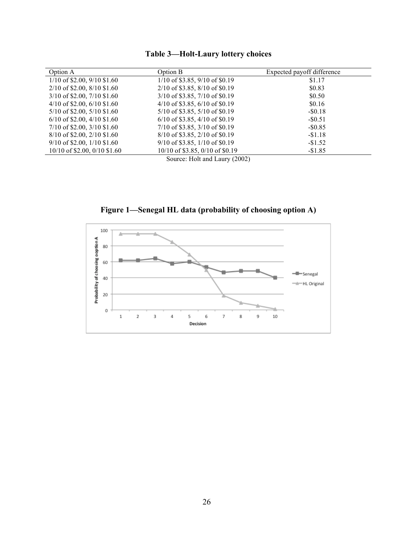|  |  | <b>Table 3-Holt-Laury lottery choices</b> |
|--|--|-------------------------------------------|
|  |  |                                           |

| Option A                        | Option B                           | Expected payoff difference |
|---------------------------------|------------------------------------|----------------------------|
| $1/10$ of \$2.00, 9/10 \$1.60   | $1/10$ of \$3.85, 9/10 of \$0.19   | \$1.17                     |
| $2/10$ of \$2.00, 8/10 \$1.60   | $2/10$ of \$3.85, 8/10 of \$0.19   | \$0.83                     |
| $3/10$ of \$2.00, 7/10 \$1.60   | $3/10$ of \$3.85, 7/10 of \$0.19   | \$0.50                     |
| $4/10$ of \$2.00, 6/10 \$1.60   | $4/10$ of \$3.85, 6/10 of \$0.19   | \$0.16                     |
| $5/10$ of \$2.00, $5/10$ \$1.60 | $5/10$ of \$3.85, $5/10$ of \$0.19 | $-$ \$0.18                 |
| $6/10$ of \$2.00, 4/10 \$1.60   | $6/10$ of \$3.85, 4/10 of \$0.19   | $-$ \$0.51                 |
| $7/10$ of \$2.00, 3/10 \$1.60   | $7/10$ of \$3.85, 3/10 of \$0.19   | $-$ \$0.85                 |
| $8/10$ of \$2.00, 2/10 \$1.60   | $8/10$ of \$3.85, 2/10 of \$0.19   | $-\$1.18$                  |
| $9/10$ of \$2.00, 1/10 \$1.60   | $9/10$ of \$3.85, 1/10 of \$0.19   | $-\$1.52$                  |
| $10/10$ of \$2.00, 0/10 \$1.60  | $10/10$ of \$3.85, 0/10 of \$0.19  | $-$1.85$                   |
|                                 | $\alpha$ II 1. II (3003)           |                            |

Source: Holt and Laury (2002)

**Figure 1—Senegal HL data (probability of choosing option A)** 

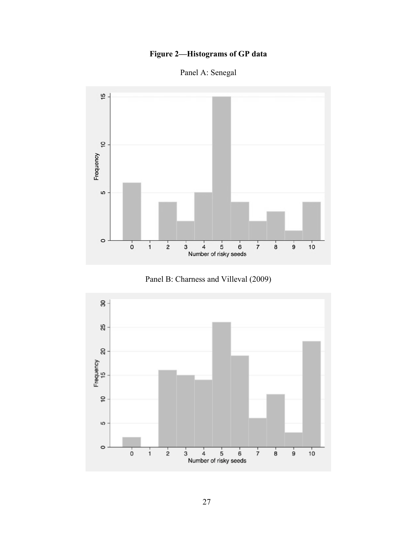# **Figure 2—Histograms of GP data**

Panel A: Senegal





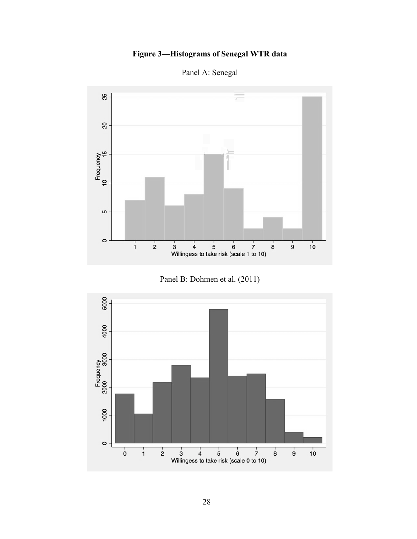# **Figure 3—Histograms of Senegal WTR data**



Panel A: Senegal



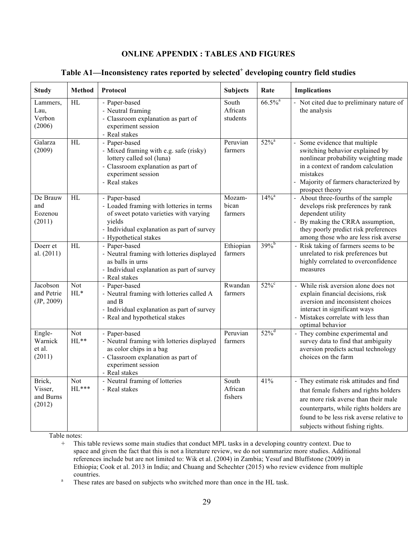## **ONLINE APPENDIX : TABLES AND FIGURES**

| <b>Study</b>                             | <b>Method</b>   | Protocol                                                                                                                                                                             | <b>Subjects</b>              | Rate                  | <b>Implications</b>                                                                                                                                                                                                                                 |
|------------------------------------------|-----------------|--------------------------------------------------------------------------------------------------------------------------------------------------------------------------------------|------------------------------|-----------------------|-----------------------------------------------------------------------------------------------------------------------------------------------------------------------------------------------------------------------------------------------------|
| Lammers,<br>Lau,<br>Verbon<br>(2006)     | $\overline{HL}$ | - Paper-based<br>- Neutral framing<br>- Classroom explanation as part of<br>experiment session<br>- Real stakes                                                                      | South<br>African<br>students | $66.5\%$ <sup>a</sup> | Not cited due to preliminary nature of<br>$\overline{\phantom{a}}$<br>the analysis                                                                                                                                                                  |
| Galarza<br>(2009)                        | $\overline{HL}$ | - Paper-based<br>- Mixed framing with e.g. safe (risky)<br>lottery called sol (luna)<br>- Classroom explanation as part of<br>experiment session<br>- Real stakes                    | Peruvian<br>farmers          | $52\%$ <sup>a</sup>   | Some evidence that multiple<br>switching behavior explained by<br>nonlinear probability weighting made<br>in a context of random calculation<br>mistakes<br>Majority of farmers characterized by<br>prospect theory                                 |
| De Brauw<br>and<br>Eozenou<br>(2011)     | $\overline{HL}$ | - Paper-based<br>- Loaded framing with lotteries in terms<br>of sweet potato varieties with varying<br>yields<br>- Individual explanation as part of survey<br>- Hypothetical stakes | Mozam-<br>bican<br>farmers   | $14\%$ <sup>a</sup>   | About three-fourths of the sample<br>develops risk preferences by rank<br>dependent utility<br>By making the CRRA assumption,<br>they poorly predict risk preferences<br>among those who are less risk averse                                       |
| Doerr et<br>al. (2011)                   | HL              | - Paper-based<br>- Neutral framing with lotteries displayed<br>as balls in urns<br>- Individual explanation as part of survey<br>- Real stakes                                       | Ethiopian<br>farmers         | $39\%$ <sup>b</sup>   | - Risk taking of farmers seems to be<br>unrelated to risk preferences but<br>highly correlated to overconfidence<br>measures                                                                                                                        |
| Jacobson<br>and Petrie<br>(JP, 2009)     | Not<br>$HL^*$   | - Paper-based<br>- Neutral framing with lotteries called A<br>and B<br>- Individual explanation as part of survey<br>- Real and hypothetical stakes                                  | Rwandan<br>farmers           | $52\%$                | - While risk aversion alone does not<br>explain financial decisions, risk<br>aversion and inconsistent choices<br>interact in significant ways<br>- Mistakes correlate with less than<br>optimal behavior                                           |
| Engle-<br>Warnick<br>et al.<br>(2011)    | Not<br>$HL**$   | - Paper-based<br>- Neutral framing with lotteries displayed<br>as color chips in a bag<br>- Classroom explanation as part of<br>experiment session<br>- Real stakes                  | Peruvian<br>farmers          | $52\%$ <sup>d</sup>   | - They combine experimental and<br>survey data to find that ambiguity<br>aversion predicts actual technology<br>choices on the farm                                                                                                                 |
| Brick,<br>Visser,<br>and Burns<br>(2012) | Not<br>$HL$ *** | - Neutral framing of lotteries<br>- Real stakes                                                                                                                                      | South<br>African<br>fishers  | 41%                   | - They estimate risk attitudes and find<br>that female fishers and rights holders<br>are more risk averse than their male<br>counterparts, while rights holders are<br>found to be less risk averse relative to<br>subjects without fishing rights. |

## Table A1—Inconsistency rates reported by selected<sup>+</sup> developing country field studies

Table notes:

<sup>+</sup> This table reviews some main studies that conduct MPL tasks in a developing country context. Due to space and given the fact that this is not a literature review, we do not summarize more studies. Additional references include but are not limited to: Wik et al. (2004) in Zambia; Yesuf and Bluffstone (2009) in Ethiopia; Cook et al. 2013 in India; and Chuang and Schechter (2015) who review evidence from multiple countries.<br><sup>a</sup> These rates are based on subjects who switched more than once in the HL task.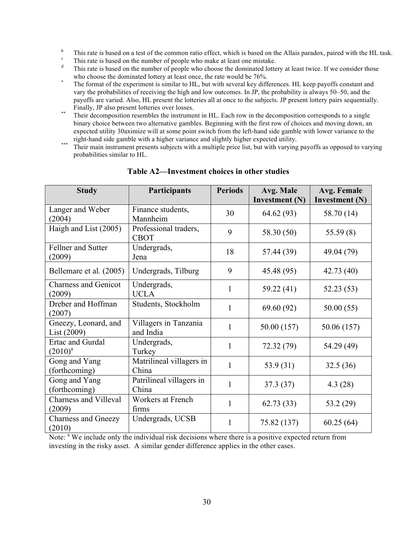- This rate is based on a test of the common ratio effect, which is based on the Allais paradox, paired with the HL task.<br>This rate is based on the number of people who make at least one mistake.
- 
- This rate is based on the number of people who choose the dominated lottery at least twice. If we consider those
- who choose the dominated lottery at least once, the rate would be 76%.<br>The format of the experiment is similar to HL, but with several key differences. HL keep payoffs constant and vary the probabilities of receiving the high and low outcomes. In JP, the probability is always 50–50, and the payoffs are varied. Also, HL present the lotteries all at once to the subjects. JP present lottery pairs sequentially.
- Finally,  $\overline{C}$  also present contribution over losses. binary choice between two alternative gambles. Beginning with the first row of choices and moving down, an expected utility 30aximize will at some point switch from the left-hand side gamble with lower variance to the right-hand side gamble with a higher variance and slightly higher expected utility.
- right-hand side gamble with a higher variance and slightly higher expected utility.<br>Their main instrument presents subjects with a multiple price list, but with varying payoffs as opposed to varying probabilities similar to HL.

| <b>Study</b>                           | <b>Participants</b>                  | <b>Periods</b> | Avg. Male<br>Investment (N) | Avg. Female<br>Investment (N) |
|----------------------------------------|--------------------------------------|----------------|-----------------------------|-------------------------------|
| Langer and Weber<br>(2004)             | Finance students,<br>Mannheim        | 30             | 64.62 (93)                  | 58.70 (14)                    |
| Haigh and List (2005)                  | Professional traders,<br><b>CBOT</b> | 9              | 58.30 (50)                  | 55.59(8)                      |
| Fellner and Sutter<br>(2009)           | Undergrads,<br>Jena                  | 18             | 57.44 (39)                  | 49.04 (79)                    |
| Bellemare et al. (2005)                | Undergrads, Tilburg                  | 9              | 45.48 (95)                  | 42.73(40)                     |
| <b>Charness and Genicot</b><br>(2009)  | Undergrads,<br><b>UCLA</b>           | 1              | 59.22 (41)                  | 52.23(53)                     |
| Dreber and Hoffman<br>(2007)           | Students, Stockholm                  | $\mathbf{1}$   | 69.60(92)                   | 50.00(55)                     |
| Gneezy, Leonard, and<br>List(2009)     | Villagers in Tanzania<br>and India   | $\mathbf{1}$   | 50.00 (157)                 | 50.06 (157)                   |
| Ertac and Gurdal<br>$(2010)^{a}$       | Undergrads,<br>Turkey                | $\mathbf{1}$   | 72.32 (79)                  | 54.29 (49)                    |
| Gong and Yang<br>(forthcoming)         | Matrilineal villagers in<br>China    | $\mathbf{1}$   | 53.9 (31)                   | 32.5(36)                      |
| Gong and Yang<br>(forthcoming)         | Patrilineal villagers in<br>China    | $\mathbf{1}$   | 37.3 (37)                   | 4.3(28)                       |
| <b>Charness and Villeval</b><br>(2009) | Workers at French<br>firms           | $\mathbf{1}$   | 62.73(33)                   | 53.2(29)                      |
| <b>Charness and Gneezy</b><br>(2010)   | Undergrads, UCSB                     | 1              | 75.82 (137)                 | 60.25(64)                     |

### **Table A2—Investment choices in other studies**

Note: <sup>a</sup> We include only the individual risk decisions where there is a positive expected return from investing in the risky asset. A similar gender difference applies in the other cases.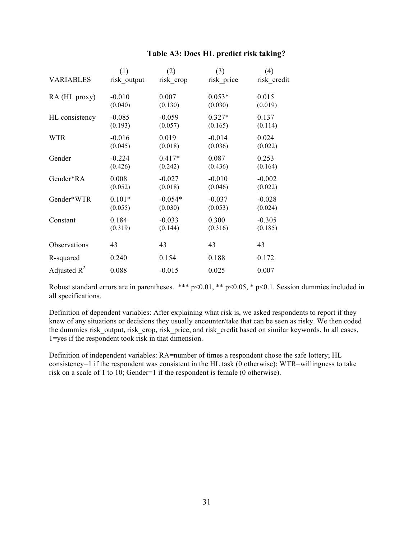## **Table A3: Does HL predict risk taking?**

|                  | (1)         | (2)       | (3)        | (4)         |
|------------------|-------------|-----------|------------|-------------|
| <b>VARIABLES</b> | risk output | risk_crop | risk price | risk credit |
| RA (HL proxy)    | $-0.010$    | 0.007     | $0.053*$   | 0.015       |
|                  | (0.040)     | (0.130)   | (0.030)    | (0.019)     |
| HL consistency   | $-0.085$    | $-0.059$  | $0.327*$   | 0.137       |
|                  | (0.193)     | (0.057)   | (0.165)    | (0.114)     |
| <b>WTR</b>       | $-0.016$    | 0.019     | $-0.014$   | 0.024       |
|                  | (0.045)     | (0.018)   | (0.036)    | (0.022)     |
| Gender           | $-0.224$    | $0.417*$  | 0.087      | 0.253       |
|                  | (0.426)     | (0.242)   | (0.436)    | (0.164)     |
| Gender*RA        | 0.008       | $-0.027$  | $-0.010$   | $-0.002$    |
|                  | (0.052)     | (0.018)   | (0.046)    | (0.022)     |
| Gender*WTR       | $0.101*$    | $-0.054*$ | $-0.037$   | $-0.028$    |
|                  | (0.055)     | (0.030)   | (0.053)    | (0.024)     |
| Constant         | 0.184       | $-0.033$  | 0.300      | $-0.305$    |
|                  | (0.319)     | (0.144)   | (0.316)    | (0.185)     |
| Observations     | 43          | 43        | 43         | 43          |
| R-squared        | 0.240       | 0.154     | 0.188      | 0.172       |
| Adjusted $R^2$   | 0.088       | $-0.015$  | 0.025      | 0.007       |

Robust standard errors are in parentheses. \*\*\* p<0.01, \*\* p<0.05, \* p<0.1. Session dummies included in all specifications.

Definition of dependent variables: After explaining what risk is, we asked respondents to report if they knew of any situations or decisions they usually encounter/take that can be seen as risky. We then coded the dummies risk output, risk crop, risk price, and risk credit based on similar keywords. In all cases, 1=yes if the respondent took risk in that dimension.

Definition of independent variables: RA=number of times a respondent chose the safe lottery; HL consistency=1 if the respondent was consistent in the HL task  $(0)$  otherwise); WTR=willingness to take risk on a scale of 1 to 10; Gender=1 if the respondent is female (0 otherwise).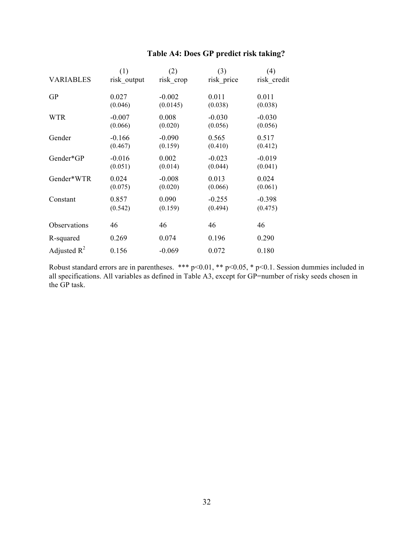|                  | (1)         | (2)       | (3)        | (4)         |
|------------------|-------------|-----------|------------|-------------|
| <b>VARIABLES</b> | risk output | risk_crop | risk price | risk credit |
| <b>GP</b>        | 0.027       | $-0.002$  | 0.011      | 0.011       |
|                  | (0.046)     | (0.0145)  | (0.038)    | (0.038)     |
| <b>WTR</b>       | $-0.007$    | 0.008     | $-0.030$   | $-0.030$    |
|                  | (0.066)     | (0.020)   | (0.056)    | (0.056)     |
| Gender           | $-0.166$    | $-0.090$  | 0.565      | 0.517       |
|                  | (0.467)     | (0.159)   | (0.410)    | (0.412)     |
| Gender*GP        | $-0.016$    | 0.002     | $-0.023$   | $-0.019$    |
|                  | (0.051)     | (0.014)   | (0.044)    | (0.041)     |
| Gender*WTR       | 0.024       | $-0.008$  | 0.013      | 0.024       |
|                  | (0.075)     | (0.020)   | (0.066)    | (0.061)     |
| Constant         | 0.857       | 0.090     | $-0.255$   | $-0.398$    |
|                  | (0.542)     | (0.159)   | (0.494)    | (0.475)     |
| Observations     | 46          | 46        | 46         | 46          |
| R-squared        | 0.269       | 0.074     | 0.196      | 0.290       |
| Adjusted $R^2$   | 0.156       | $-0.069$  | 0.072      | 0.180       |

Robust standard errors are in parentheses. \*\*\* p<0.01, \*\* p<0.05, \* p<0.1. Session dummies included in all specifications. All variables as defined in Table A3, except for GP=number of risky seeds chosen in the GP task.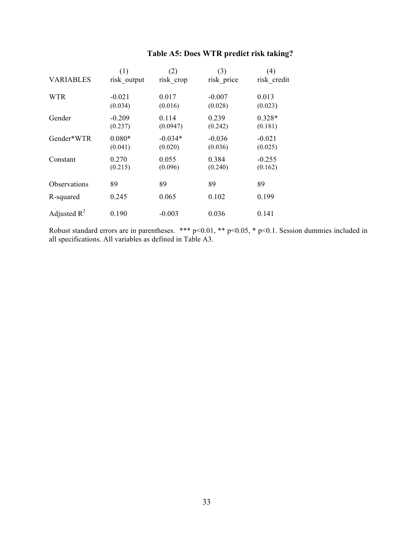|                     | (1)                 | (2)                  | (3)                 | (4)                 |
|---------------------|---------------------|----------------------|---------------------|---------------------|
| <b>VARIABLES</b>    | risk output         | risk crop            | risk price          | risk credit         |
| <b>WTR</b>          | $-0.021$<br>(0.034) | 0.017<br>(0.016)     | $-0.007$<br>(0.028) | 0.013<br>(0.023)    |
| Gender              | $-0.209$<br>(0.237) | 0.114<br>(0.0947)    | 0.239<br>(0.242)    | $0.328*$<br>(0.181) |
| Gender*WTR          | $0.080*$<br>(0.041) | $-0.034*$<br>(0.020) | $-0.036$<br>(0.036) | $-0.021$<br>(0.025) |
| Constant            | 0.270<br>(0.215)    | 0.055<br>(0.096)     | 0.384<br>(0.240)    | $-0.255$<br>(0.162) |
| <b>Observations</b> | 89                  | 89                   | 89                  | 89                  |
| R-squared           | 0.245               | 0.065                | 0.102               | 0.199               |
| Adjusted $R^2$      | 0.190               | $-0.003$             | 0.036               | 0.141               |

## **Table A5: Does WTR predict risk taking?**

Robust standard errors are in parentheses. \*\*\* p<0.01, \*\* p<0.05, \* p<0.1. Session dummies included in all specifications. All variables as defined in Table A3.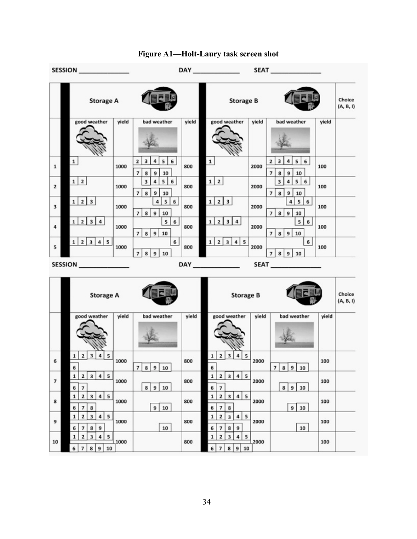

## **Figure A1—Holt-Laury task screen shot**